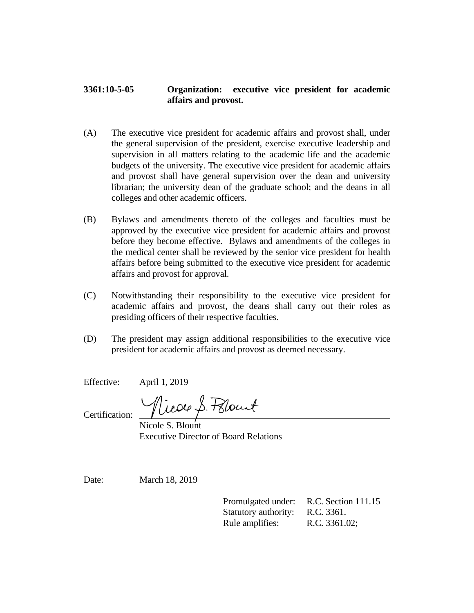## **3361:10-5-05 Organization: executive vice president for academic affairs and provost.**

- (A) The executive vice president for academic affairs and provost shall, under the general supervision of the president, exercise executive leadership and supervision in all matters relating to the academic life and the academic budgets of the university. The executive vice president for academic affairs and provost shall have general supervision over the dean and university librarian; the university dean of the graduate school; and the deans in all colleges and other academic officers.
- (B) Bylaws and amendments thereto of the colleges and faculties must be approved by the executive vice president for academic affairs and provost before they become effective. Bylaws and amendments of the colleges in the medical center shall be reviewed by the senior vice president for health affairs before being submitted to the executive vice president for academic affairs and provost for approval.
- (C) Notwithstanding their responsibility to the executive vice president for academic affairs and provost, the deans shall carry out their roles as presiding officers of their respective faculties.
- (D) The president may assign additional responsibilities to the executive vice president for academic affairs and provost as deemed necessary.

Effective: April 1, 2019

Nicole S. Polount

Certification:

Nicole S. Blount Executive Director of Board Relations

Date: March 18, 2019

Promulgated under: R.C. Section 111.15 Statutory authority: R.C. 3361. Rule amplifies: R.C. 3361.02;